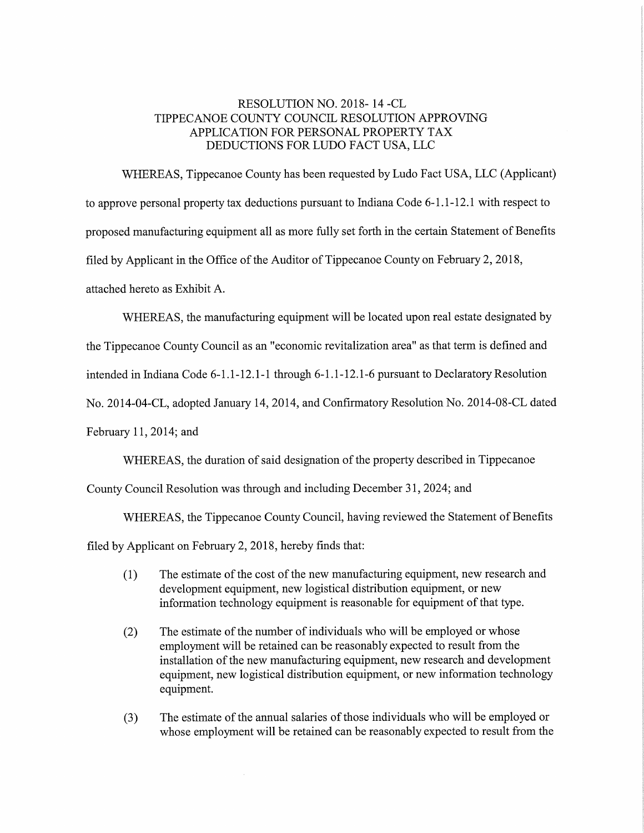### RESOLUTION NO. 2018— 14 -CL TIPPECANOE COUNTY COUNCIL RESOLUTION APPROVING APPLICATION FOR PERSONAL PROPERTY TAX DEDUCTIONS FOR LUDO FACT USA, LLC

WHEREAS, Tippecanoe County has been requested by Ludo Fact USA, LLC (Applicant) to approve personal property tax deductions pursuant to Indiana Code 6-1.1-12.1 with respect to proposed manufacturing equipment all as more fully set forth in the certain Statement of Benefits filed by Applicant in the Office of the Auditor of Tippecanoe County on February 2, 2018, attached hereto as Exhibit A.

WHEREAS, the manufacturing equipment will be located upon real estate designated by

the Tippecanoe County Council as an "economic revitalization area" as that term is defined and

intended in Indiana Code  $6-1.1-12.1-1$  through  $6-1.1-12.1-6$  pursuant to Declaratory Resolution

No. 2014-04-CL, adopted January 14, 2014, and Confirmatory Resolution No. 2014-08-CL dated

February 11,2014; and

WHEREAS, the duration of said designation of the property described in Tippecanoe

County Council Resolution was through and including December 31, 2024; and

WHEREAS, the Tippecanoe County Council, having reviewed the Statement of Benefits

filed by Applicant on February 2, 2018, hereby finds that:

- (1) The estimate of the cost of the new manufacturing equipment, new research and development equipment, new logistical distribution equipment, or new information technology equipment is reasonable for equipment of that type.
- $(2)$  The estimate of the number of individuals who will be employed or whose employment will be retained can be reasonably expected to result from the installation of the new manufacturing equipment, new research and development equipment, new logistical distribution equipment, or new information technology equipment.
- (3) The estimate of the annual salaries of those individuals who will be employed or whose employment will be retained can be reasonably expected to result from the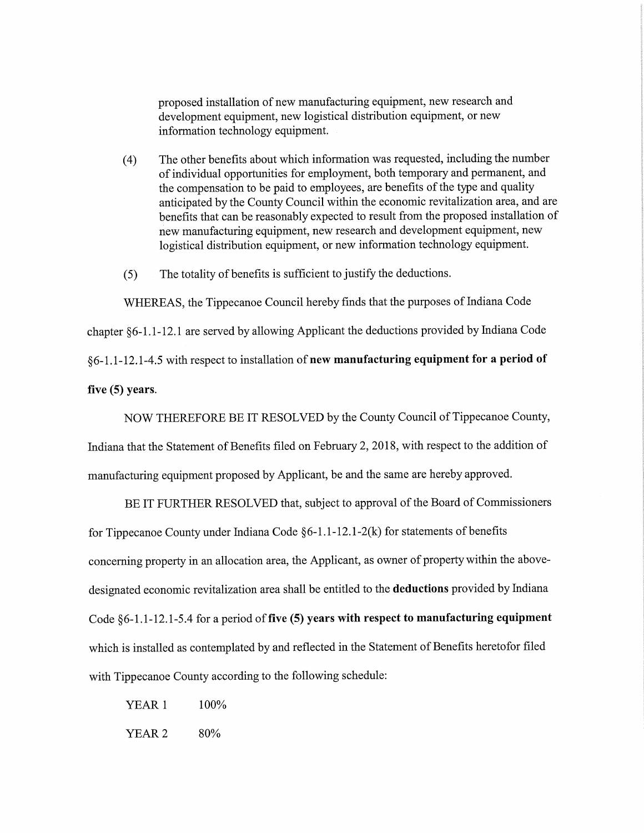proposed installation of new manufacturing equipment, new research and development equipment, new logistical distribution equipment, or new information technology equipment. .

- (4) The other benefits about which information was requested, including the number of individual opportunities for employment, both temporary and permanent, and the compensation to be paid to employees, are benefits of the type and quality anticipated by the County Council within the economic revitalization area, and are benefits that can be reasonably expected to result from the proposed installation of new manufacturing equipment, new research and development equipment, new logistical distribution equipment, or new information technology equipment.
- (5) The totality of benefits is sufficient to justify the deductions.

WHEREAS, the Tippecanoe Council hereby finds that the purposes of Indiana Code chapter §6-1.1-12.1 are served by allowing Applicant the deductions provided by Indiana Code §6-l .1—12. 1-4.5 with respect to installation of new manufacturing equipment for <sup>a</sup> period of five  $(5)$  years.

NOW THEREFORE BE IT RESOLVED by the County Council of Tippecanoe County,

Indiana that the Statement of Benefits filed on February 2, 2018, with respect to the addition of manufacturing equipment proposed by Applicant, be and the same are hereby approved.

BE IT FURTHER RESOLVED that, subject to approva<sup>l</sup> of the Board of Commissioners for Tippecanoe County under Indiana Code  $\S6-1.1-12.1-2(k)$  for statements of benefits concerning property in an allocation area, the Applicant, as owner of property within the above- designated economic revitalization area shall be entitled to the deductions provided by Indiana Code §6-1.1-12.1-5.4 for a period of five (5) years with respect to manufacturing equipment which is installed as contemplated by and reflected in the Statement of Benefits heretofor filed with Tippecanoe County according to the following schedule:

YEAR 1 100%  $YEAR 2$  80%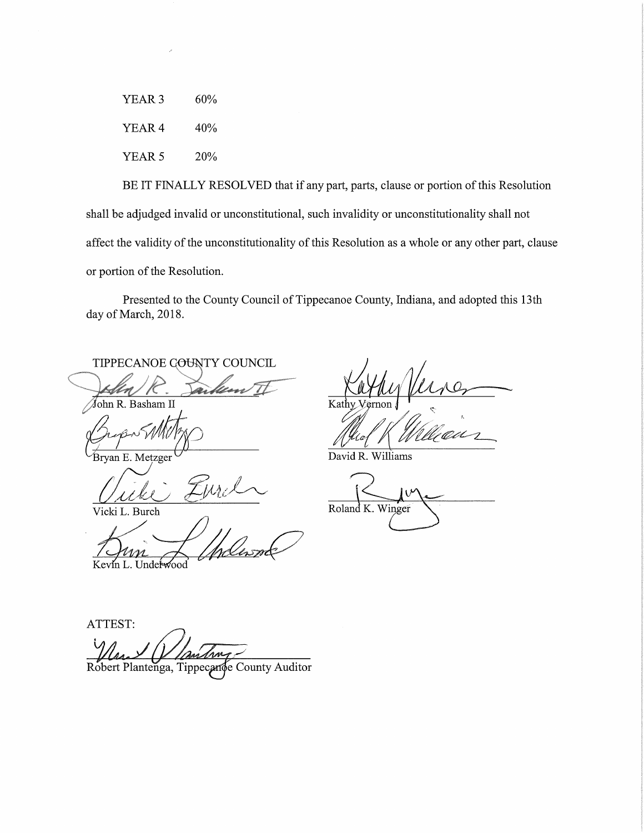60% YEAR<sub>3</sub> YEAR 4 40% YEAR 5 20%

BE IT FINALLY RESOLVED that if any part, parts, clause or portion of this Resolution shall be adjudged invalid or unconstitutional, such invalidity or unconstitutionality shall not affect the validity of the unconstitutionality of this Resolution as a whole or any other part, clause or portion of the Resolution.

Presented to the County Council of Tippecanoe County, Indiana, and adopted this 13th day of March, 2018.

TIPPECANOE GOUNTY COUNCIL

John R. Basham II

Bryan E. Metzger

Vicki L. Burch

Kevin L. Underwood

Kathy

David R. Williams

Roland K. Winger

ATTEST:

Robert Plantenga, Tippecanoe County Auditor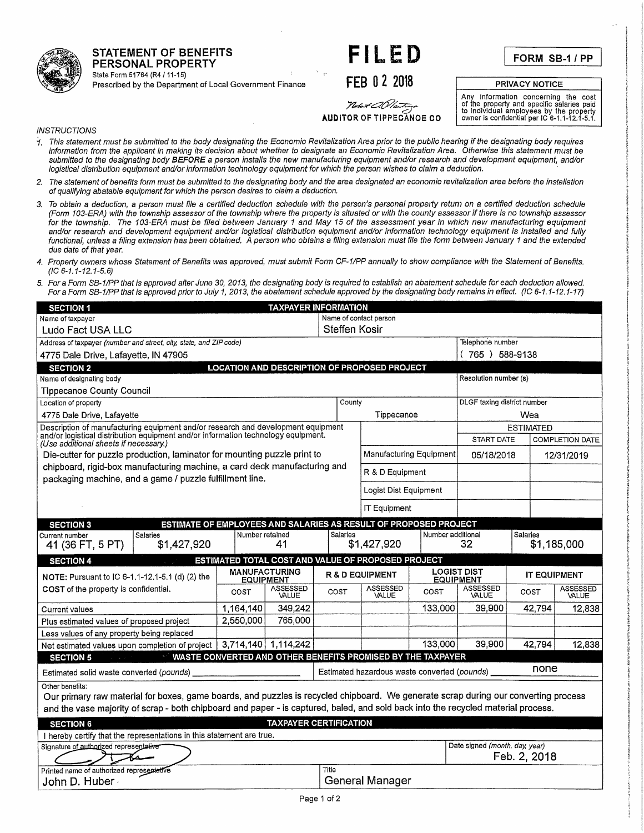STATEMENT OF BENEFITS **FILED**<br>PERSONAL PROPERTY

FORM SB-1/PP

State Form 51764 (R47 11-15)<br>Prescribed by the Department of Local Government Finance FEB 0 2 2018 PRIVACY NOTICE

س<del>رید برای ۱۳۸۵ میل</del>یم میتوانید.<br>**AUDITOR OF TIPPECANOE CO** 

Any information concerning the cost<br>
of the property and specific salaries paid<br>
to individual employees by the property<br>
owner is confidential per IC 6-1.1-12.1-5.1.

**INSTRUCTIONS** 

STATEMENT OF BENEFITS

State Form 51764 (R4 / 11-15)

- <sup>~</sup>'/, This statement must be submitted to the body designating the Economic Revitalization Area prior to the public hearing if the designating body requires information from the applicant in making its decision about Whether to designate an Economic Revitalization Area. Otherwise this statement must be submitted to the designating body BEFORE a person installs the new manufacturing equipment and/or research and development equipment, and/or logistical distribution equipment and/or information technology equipment for which the person wishes to claim <sup>a</sup> deduction. '
- 2. The statement ofbenefits form must be submitted to the designating body and the area designated an economic revitalization area before the installation of qualifying abatable equipment for which the person desires to claim <sup>a</sup> deduction.
- 3. To obtain <sup>a</sup> deduction, <sup>a</sup> person must file <sup>a</sup> certified deduction schedule with the person's personal property return on <sup>a</sup> certified deduction schedule (Form 103-ERA) with the township assessor of the township where the property is situated or with the county assessor if there is no township assessor for the township. The 103-ERA must be filed between January 1 and May 15 of the assessment year in which new manufacturing equipment and/or research and development equipment and/or logistical distribution equipment and/or information technology equipment is installed and fully functional, unless <sup>a</sup> filing extension has been obtained. A person who obtains <sup>a</sup> filing extension must file the form between January 1 and the extended due date of that year.
- 4. Property owners whose Statement of Benefits was approved, must submit Form CF-1/PP annually to show compliance with the Statement of Benefits.  $(IC 6-1.1-12.1-5.6)$
- 5. Fora Form SB~1/PP that is approved after June 30, 2013, the designating body is required to establish an abatement schedule for each deduction allowed. For a Form SB-1/PP that is approved prior to July 1, 2013, the abatement schedule approved by the designating body remains in effect. (IC 6-1.1-12.1-17)

| <b>SECTION 1</b>                                                                                                                                                      |                                          | <b>TAXPAYER INFORMATION</b>   |               |                                                             |                                                          |                                        |              |                          |  |  |
|-----------------------------------------------------------------------------------------------------------------------------------------------------------------------|------------------------------------------|-------------------------------|---------------|-------------------------------------------------------------|----------------------------------------------------------|----------------------------------------|--------------|--------------------------|--|--|
| Name of taxpayer                                                                                                                                                      |                                          |                               |               |                                                             |                                                          | Name of contact person                 |              |                          |  |  |
| Ludo Fact USA LLC                                                                                                                                                     |                                          |                               | Steffen Kosir |                                                             |                                                          |                                        |              |                          |  |  |
| Address of taxpayer (number and street, city, state, and ZIP code)                                                                                                    |                                          |                               |               |                                                             |                                                          | Telephone number                       |              |                          |  |  |
| 4775 Dale Drive, Lafayette, IN 47905                                                                                                                                  |                                          |                               |               |                                                             |                                                          | (765) 588-9138                         |              |                          |  |  |
| <b>SECTION 2</b>                                                                                                                                                      |                                          |                               |               | <b>LOCATION AND DESCRIPTION OF PROPOSED PROJECT</b>         |                                                          |                                        |              |                          |  |  |
| Name of designating body                                                                                                                                              |                                          |                               |               |                                                             |                                                          | Resolution number (s)                  |              |                          |  |  |
| <b>Tippecanoe County Council</b>                                                                                                                                      |                                          |                               |               |                                                             |                                                          |                                        |              |                          |  |  |
| Location of property                                                                                                                                                  |                                          | County                        |               |                                                             | DLGF taxing district number                              |                                        |              |                          |  |  |
| 4775 Dale Drive, Lafayette                                                                                                                                            | Tippecanoe                               |                               |               | Wea                                                         |                                                          |                                        |              |                          |  |  |
| Description of manufacturing equipment and/or research and development equipment<br>and/or logistical distribution equipment and/or information technology equipment. |                                          |                               |               |                                                             | <b>ESTIMATED</b><br>START DATE<br><b>COMPLETION DATE</b> |                                        |              |                          |  |  |
| (Use additional sheets if necessary.)<br>Die-cutter for puzzle production, laminator for mounting puzzle print to                                                     |                                          |                               |               | Manufacturing Equipment                                     |                                                          | 05/18/2018                             |              | 12/31/2019               |  |  |
| chipboard, rigid-box manufacturing machine, a card deck manufacturing and                                                                                             |                                          |                               |               |                                                             |                                                          |                                        |              |                          |  |  |
| packaging machine, and a game / puzzle fulfillment line.                                                                                                              |                                          |                               |               | R & D Equipment                                             |                                                          |                                        |              |                          |  |  |
|                                                                                                                                                                       |                                          |                               |               | Logist Dist Equipment                                       |                                                          |                                        |              |                          |  |  |
|                                                                                                                                                                       |                                          |                               |               | <b>IT Equipment</b>                                         |                                                          |                                        |              |                          |  |  |
| ESTIMATE OF EMPLOYEES AND SALARIES AS RESULT OF PROPOSED PROJECT<br><b>SECTION 3</b>                                                                                  |                                          |                               |               |                                                             |                                                          |                                        |              |                          |  |  |
| Salaries<br>Current number<br>\$1,427,920<br>41 (36 FT, 5 PT)                                                                                                         | Number retained                          | 41                            | Salaries      | \$1,427,920                                                 | Number additional                                        | 32                                     | Salaries     | \$1,185,000              |  |  |
| <b>SECTION 4</b>                                                                                                                                                      |                                          |                               |               | ESTIMATED TOTAL COST AND VALUE OF PROPOSED PROJECT          |                                                          |                                        |              |                          |  |  |
| NOTE: Pursuant to IC 6-1.1-12.1-5.1 (d) (2) the                                                                                                                       | <b>MANUFACTURING</b><br><b>EQUIPMENT</b> |                               |               | <b>R &amp; D EQUIPMENT</b>                                  |                                                          | <b>LOGIST DIST</b><br><b>EQUIPMENT</b> | IT EQUIPMENT |                          |  |  |
| COST of the property is confidential.                                                                                                                                 | COST                                     | ASSESSED<br>VALUE             | COST          | ASSESSED<br>VALUE                                           | COST                                                     | ASSESSED<br>VALUE                      | COST         | <b>ASSESSED</b><br>VALUE |  |  |
| <b>Current values</b>                                                                                                                                                 | 1.164.140                                | 349.242                       |               |                                                             | 133,000                                                  | 39,900                                 | 42,794       | 12.838                   |  |  |
| Plus estimated values of proposed project                                                                                                                             | 2,550,000                                | 765,000                       |               |                                                             |                                                          |                                        |              |                          |  |  |
|                                                                                                                                                                       |                                          |                               |               |                                                             |                                                          |                                        |              |                          |  |  |
| Less values of any property being replaced                                                                                                                            |                                          |                               |               |                                                             |                                                          |                                        |              |                          |  |  |
| Net estimated values upon completion of project                                                                                                                       | 3,714,140 1,114,242                      |                               |               |                                                             | 133,000                                                  | 39,900                                 | 42,794       | 12,838                   |  |  |
| $\sim$ $^{\prime}$<br><b>SECTION 5</b>                                                                                                                                |                                          |                               |               | WASTE CONVERTED AND OTHER BENEFITS PROMISED BY THE TAXPAYER |                                                          |                                        |              |                          |  |  |
| Estimated solid waste converted (pounds)                                                                                                                              |                                          |                               |               | Estimated hazardous waste converted (pounds) _              |                                                          |                                        | none         |                          |  |  |
| Other benefits:                                                                                                                                                       |                                          |                               |               |                                                             |                                                          |                                        |              |                          |  |  |
| Our primary raw material for boxes, game boards, and puzzles is recycled chipboard. We generate scrap during our converting process                                   |                                          |                               |               |                                                             |                                                          |                                        |              |                          |  |  |
| and the vase majority of scrap - both chipboard and paper - is captured, baled, and sold back into the recycled material process.                                     |                                          |                               |               |                                                             |                                                          |                                        |              |                          |  |  |
| <b>SECTION 6</b>                                                                                                                                                      |                                          | <b>TAXPAYER CERTIFICATION</b> |               |                                                             |                                                          |                                        |              |                          |  |  |
| I hereby certify that the representations in this statement are true.                                                                                                 |                                          |                               |               |                                                             |                                                          |                                        |              |                          |  |  |
| Signature of authorized representative                                                                                                                                |                                          |                               |               |                                                             |                                                          | Date signed (month, day, year)         | Feb. 2, 2018 |                          |  |  |
| Printed name of authorized representative<br>John D. Huber                                                                                                            |                                          |                               | Title         | General Manager                                             |                                                          |                                        |              |                          |  |  |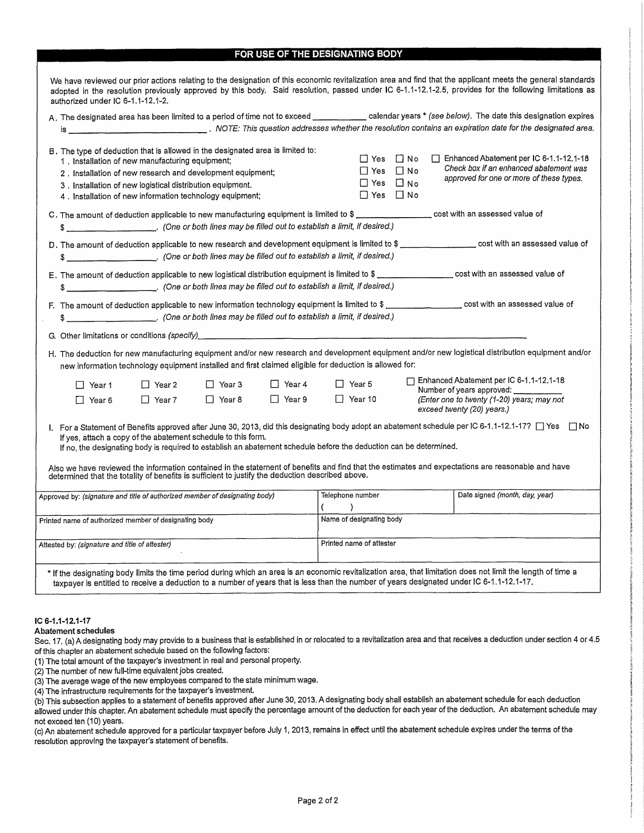#### FOR USE OF THE DESIGNATING BODY

|                                                                                                  |                                                                                                                       |          |               |                                                                                                                    |                                              | A. The designated area has been limited to a period of time not to exceed called aryears * (see below). The date this designation expires               |
|--------------------------------------------------------------------------------------------------|-----------------------------------------------------------------------------------------------------------------------|----------|---------------|--------------------------------------------------------------------------------------------------------------------|----------------------------------------------|---------------------------------------------------------------------------------------------------------------------------------------------------------|
| B. The type of deduction that is allowed in the designated area is limited to:                   | 1. Installation of new manufacturing equipment;<br>2. Installation of new research and development equipment;         |          |               |                                                                                                                    | $\Box$ Yes $\Box$ No<br>$\Box$ Yes $\Box$ No | Enhanced Abatement per IC 6-1.1-12.1-18<br>Check box if an enhanced abatement was                                                                       |
|                                                                                                  | 3. Installation of new logistical distribution equipment.<br>4. Installation of new information technology equipment; |          |               |                                                                                                                    | $\Box$ Yes $\Box$ No<br>$\Box$ Yes $\Box$ No | approved for one or more of these types.                                                                                                                |
| \$                                                                                               |                                                                                                                       |          |               | (One or both lines may be filled out to establish a limit, if desired.)                                            |                                              | C. The amount of deduction applicable to new manufacturing equipment is limited to \$ __________________ cost with an assessed value of                 |
|                                                                                                  |                                                                                                                       |          |               | \$ [arr additional controls into the smay be filled out to establish a limit, if desired.)                         |                                              | D. The amount of deduction applicable to new research and development equipment is limited to \$ __________________ cost with an assessed value of      |
|                                                                                                  |                                                                                                                       |          |               | \$ ______________________. (One or both lines may be filled out to establish a limit, if desired.)                 |                                              | E. The amount of deduction applicable to new logistical distribution equipment is limited to \$ _________________ cost with an assessed value of        |
| $\frac{3}{2}$                                                                                    |                                                                                                                       |          |               | (One or both lines may be filled out to establish a limit, if desired.)                                            |                                              | F. The amount of deduction applicable to new information technology equipment is limited to \$ __________________ cost with an assessed value of        |
|                                                                                                  |                                                                                                                       |          |               |                                                                                                                    |                                              |                                                                                                                                                         |
|                                                                                                  |                                                                                                                       |          |               |                                                                                                                    |                                              |                                                                                                                                                         |
|                                                                                                  |                                                                                                                       |          |               | new information technology equipment installed and first claimed eligible for deduction is allowed for:            |                                              | H. The deduction for new manufacturing equipment and/or new research and development equipment and/or new logistical distribution equipment and/or      |
| $\Box$ Year 1                                                                                    | $\Box$ Year 2                                                                                                         | □ Year 3 | $\Box$ Year 4 | $\Box$ Year 5                                                                                                      |                                              | Enhanced Abatement per IC 6-1.1-12.1-18                                                                                                                 |
| $\Box$ Year 6                                                                                    | $\Box$ Year 7                                                                                                         | □ Year 8 | $\Box$ Year 9 | $\Box$ Year 10                                                                                                     |                                              | Number of years approved:<br>(Enter one to twenty (1-20) years; may not<br>exceed twenty (20) years.)                                                   |
|                                                                                                  | If yes, attach a copy of the abatement schedule to this form.                                                         |          |               | If no, the designating body is required to establish an abatement schedule before the deduction can be determined. |                                              | I. For a Statement of Benefits approved after June 30, 2013, did this designating body adopt an abatement schedule per IC 6-1.1-12.1-17? [ ] Yes [ ] No |
| determined that the totality of benefits is sufficient to justify the deduction described above. |                                                                                                                       |          |               |                                                                                                                    |                                              | Also we have reviewed the information contained in the statement of benefits and find that the estimates and expectations are reasonable and have       |
| Approved by: (signature and title of authorized member of designating body)                      |                                                                                                                       |          |               | Telephone number<br>$\rightarrow$                                                                                  |                                              | Date signed (month, day, year)                                                                                                                          |
| Printed name of authorized member of designating body                                            |                                                                                                                       |          |               | Name of designating body                                                                                           |                                              |                                                                                                                                                         |

#### IC 6-4 .1 -1 2.1-17

#### Abatement schedules

Sec. 17. (a) A designating body may provide to a business that is established in or relocated to a revitalization area and that receives a deduction under section 4 or 4.5 of this chapter an abatement schedule based on the following factors:

(1) The total amount of the taxpayer's investment in real and persona<sup>l</sup> property.

 $(2)$  The number of new full-time equivalent jobs created.

(3) The average wage of the new employees compared to the state minimum wage.

(4) The infrastructure requirements forthe taxpayer's investment.

(b) This subsection applies to <sup>a</sup> statement of benefits approved after June 30, 2013. <sup>A</sup> designating body shallestablish an abatement schedule for each deduction allowed under this chapter. An abatement schedule must specify the percentage amount of the deduction for each year of the deduction. An abatement schedule may not exceed ten (10) years.

(c) An abatement schedule approved for <sup>a</sup> particular taxpayer before July 1, 2013, remains in effect until the abatement schedule expires under the terms of the resolution approving the taxpayer's statement of benefits.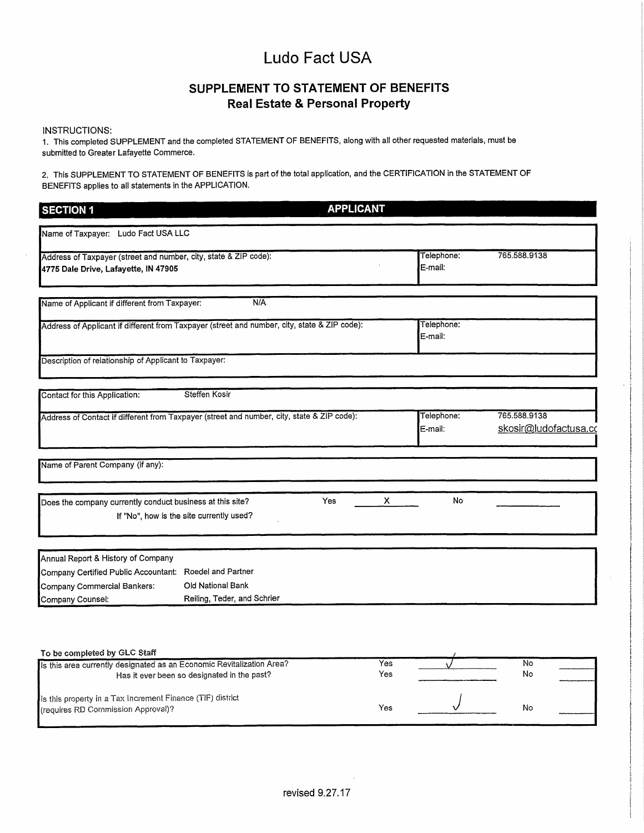### SUPPLEMENT TO STATEMENT OF BENEFITS Real Estate & Personal Property

#### INSTRUCTIONS:

1. This completed SUPPLEMENT and the completed STATEMENT OF BENEFITS, along with all other requested materials, must be submitted to Greater Lafayette Commerce.

2. This SUPPLEMENT TO STATEMENT OF BENEFITS is partof the total application, and the CERTIFICATION in the STATEMENT OF BENEFITS applies to all statements in the APPLICATION.

| <b>SECTION 1</b>                                                                             |                                          | <b>APPLICANT</b> |   |                       |                                       |
|----------------------------------------------------------------------------------------------|------------------------------------------|------------------|---|-----------------------|---------------------------------------|
| Name of Taxpayer: Ludo Fact USA LLC                                                          |                                          |                  |   |                       |                                       |
| Address of Taxpayer (street and number, city, state & ZIP code):                             |                                          |                  |   | Telephone:            | 765.588.9138                          |
| 4775 Dale Drive, Lafayette, IN 47905                                                         |                                          |                  |   | E-mail:               |                                       |
| Name of Applicant if different from Taxpayer:                                                | N/A                                      |                  |   |                       |                                       |
| Address of Applicant if different from Taxpayer (street and number, city, state & ZIP code): |                                          |                  |   | Telephone:<br>E-mail: |                                       |
| Description of relationship of Applicant to Taxpayer:                                        |                                          |                  |   |                       |                                       |
| Contact for this Application:                                                                | Steffen Kosir                            |                  |   |                       |                                       |
| Address of Contact if different from Taxpayer (street and number, city, state & ZIP code):   |                                          |                  |   | Telephone:<br>E-mail: | 765,588,9138<br>skosir@ludofactusa.co |
| Name of Parent Company (if any):                                                             |                                          |                  |   |                       |                                       |
| Does the company currently conduct business at this site?                                    |                                          | Yes              | x | No                    |                                       |
|                                                                                              | If "No", how is the site currently used? |                  |   |                       |                                       |
| Annual Report & History of Company                                                           |                                          |                  |   |                       |                                       |
|                                                                                              |                                          |                  |   |                       |                                       |
|                                                                                              |                                          |                  |   |                       |                                       |
| Company Certified Public Accountant: Roedel and Partner<br>Company Commercial Bankers:       | Old National Bank                        |                  |   |                       |                                       |

| 1000                                                                                             |     |    |  |
|--------------------------------------------------------------------------------------------------|-----|----|--|
| Is this area currently designated as an Economic Revitalization Area?                            | Yes | N٥ |  |
| Has it ever been so designated in the past?                                                      | Yes | No |  |
| Is this property in a Tax Increment Finance (TIF) district<br>(requires RD Commission Approval)? | Yes | No |  |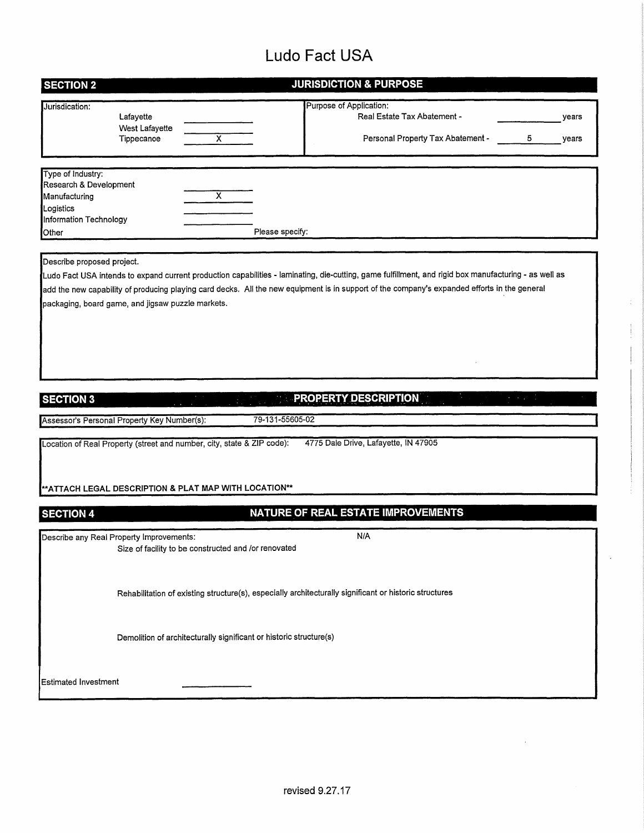|                                                                                                                                                                                       | <b>JURISDICTION &amp; PURPOSE</b>                                                                                                                                                                                                                                                                     |
|---------------------------------------------------------------------------------------------------------------------------------------------------------------------------------------|-------------------------------------------------------------------------------------------------------------------------------------------------------------------------------------------------------------------------------------------------------------------------------------------------------|
| Jurisdication:<br>Lafayette<br><b>West Lafayette</b><br>Tippecanoe                                                                                                                    | Purpose of Application:<br>Real Estate Tax Abatement -<br>years<br>$\overline{\mathsf{x}}$<br>Personal Property Tax Abatement -<br>5<br>years                                                                                                                                                         |
| Type of Industry:                                                                                                                                                                     |                                                                                                                                                                                                                                                                                                       |
| Research & Development<br>Manufacturing<br>Logistics                                                                                                                                  | х                                                                                                                                                                                                                                                                                                     |
| Information Technology<br>Other                                                                                                                                                       | Please specify:                                                                                                                                                                                                                                                                                       |
| Describe proposed project.<br>packaging, board game, and jigsaw puzzle markets.                                                                                                       | Ludo Fact USA intends to expand current production capabilities - laminating, die-cutting, game fulfillment, and rigid box manufacturing - as well as<br>add the new capability of producing playing card decks. All the new equipment is in support of the company's expanded efforts in the general |
|                                                                                                                                                                                       |                                                                                                                                                                                                                                                                                                       |
| <b>SECTION 3</b>                                                                                                                                                                      | <b>PROPERTY DESCRIPTION</b><br>79-131-55605-02                                                                                                                                                                                                                                                        |
|                                                                                                                                                                                       |                                                                                                                                                                                                                                                                                                       |
|                                                                                                                                                                                       | 4775 Dale Drive, Lafayette, IN 47905                                                                                                                                                                                                                                                                  |
|                                                                                                                                                                                       | **ATTACH LEGAL DESCRIPTION & PLAT MAP WITH LOCATION**                                                                                                                                                                                                                                                 |
|                                                                                                                                                                                       | NATURE OF REAL ESTATE IMPROVEMENTS                                                                                                                                                                                                                                                                    |
|                                                                                                                                                                                       | N/A<br>Size of facility to be constructed and /or renovated                                                                                                                                                                                                                                           |
|                                                                                                                                                                                       | Rehabilitation of existing structure(s), especially architecturally significant or historic structures                                                                                                                                                                                                |
| Assessor's Personal Property Key Number(s):<br>Location of Real Property (street and number, city, state & ZIP code):<br><b>SECTION 4</b><br>Describe any Real Property Improvements: | Demolition of architecturally significant or historic structure(s)                                                                                                                                                                                                                                    |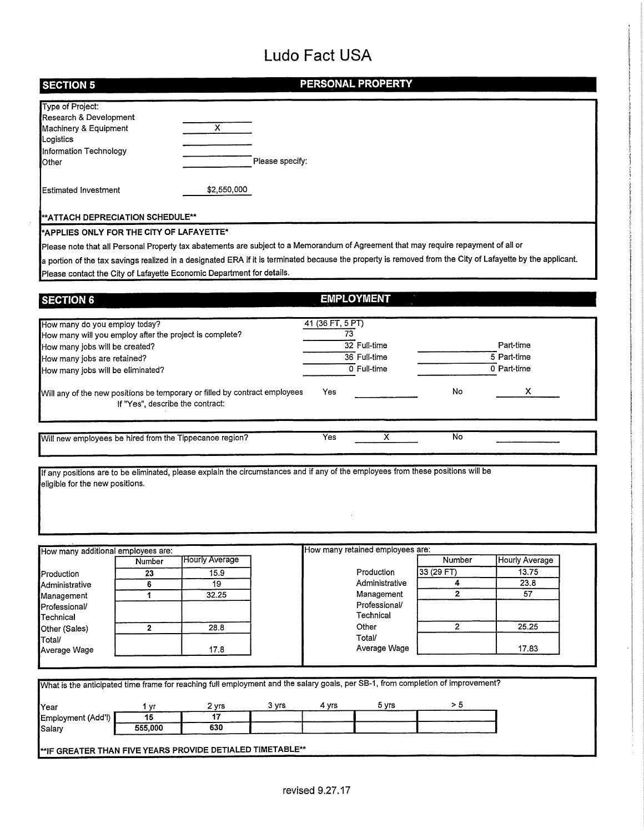$\hat{\boldsymbol{\epsilon}}$ 

| <b>SECTION 5</b>                                                                                                                                                    |                                  |                       |                 |                        | PERSONAL PROPERTY                           |                |                                                                                                                                                            |
|---------------------------------------------------------------------------------------------------------------------------------------------------------------------|----------------------------------|-----------------------|-----------------|------------------------|---------------------------------------------|----------------|------------------------------------------------------------------------------------------------------------------------------------------------------------|
| Type of Project:<br>Research & Development<br>Machinery & Equipment<br>Logistics<br>Information Technology<br>Other                                                 |                                  | x                     | Please specify: |                        |                                             |                |                                                                                                                                                            |
| <b>Estimated Investment</b>                                                                                                                                         |                                  | \$2,550,000           |                 |                        |                                             |                |                                                                                                                                                            |
| **ATTACH DEPRECIATION SCHEDULE**                                                                                                                                    |                                  |                       |                 |                        |                                             |                |                                                                                                                                                            |
| *APPLIES ONLY FOR THE CITY OF LAFAYETTE*                                                                                                                            |                                  |                       |                 |                        |                                             |                |                                                                                                                                                            |
| Please note that all Personal Property tax abatements are subject to a Memorandum of Agreement that may require repayment of all or                                 |                                  |                       |                 |                        |                                             |                |                                                                                                                                                            |
|                                                                                                                                                                     |                                  |                       |                 |                        |                                             |                | a portion of the tax savings realized in a designated ERA if it is terminated because the property is removed from the City of Lafayette by the applicant. |
| Please contact the City of Lafayette Economic Department for details.                                                                                               |                                  |                       |                 |                        |                                             |                |                                                                                                                                                            |
| <b>SECTION 6</b>                                                                                                                                                    |                                  |                       |                 |                        | <b>EMPLOYMENT</b>                           |                |                                                                                                                                                            |
| How many do you employ today?<br>How many will you employ after the project is complete?<br>How many jobs will be created?<br>How many jobs are retained?           |                                  |                       |                 | 41 (36 FT, 5 PT)<br>73 | 32 Full-time<br>36 Full-time<br>0 Full-time |                | Part-time<br>5 Part-time<br>0 Part-time                                                                                                                    |
| How many jobs will be eliminated?                                                                                                                                   |                                  |                       |                 |                        |                                             |                |                                                                                                                                                            |
| Will any of the new positions be temporary or filled by contract employees                                                                                          | If "Yes", describe the contract: |                       |                 | Yes                    |                                             | No             | х                                                                                                                                                          |
| Will new employees be hired from the Tippecanoe region?                                                                                                             |                                  |                       |                 | Yes                    | х                                           | No             |                                                                                                                                                            |
| If any positions are to be eliminated, please explain the circumstances and if any of the employees from these positions will be<br>eligible for the new positions. |                                  |                       |                 |                        |                                             |                |                                                                                                                                                            |
|                                                                                                                                                                     |                                  |                       |                 |                        |                                             |                |                                                                                                                                                            |
| How many additional employees are:                                                                                                                                  |                                  | <b>Hourly Average</b> |                 |                        | How many retained employees are:            | Number         | <b>Hourly Average</b>                                                                                                                                      |
|                                                                                                                                                                     | Number<br>23                     | 15.9                  |                 |                        | Production                                  | 33 (29 FT)     | 13.75                                                                                                                                                      |
| Production<br>Administrative                                                                                                                                        | 6                                | 19                    |                 |                        | Administrative                              | 4              | 23.8                                                                                                                                                       |
| Management<br>Professional/<br>Technical                                                                                                                            | 1                                | 32.25                 |                 |                        | Management<br>Professional/<br>Technical    | $\overline{2}$ | 57                                                                                                                                                         |
| Other (Sales)                                                                                                                                                       | $\mathbf{2}$                     | 28.8                  |                 |                        | Other                                       | 2              | 25.25                                                                                                                                                      |
| Total/<br>Average Wage                                                                                                                                              |                                  | 17.8                  |                 |                        | Total/<br>Average Wage                      |                | 17.83                                                                                                                                                      |
|                                                                                                                                                                     |                                  |                       |                 |                        |                                             |                |                                                                                                                                                            |
| What is the anticipated time frame for reaching full employment and the salary goals, per SB-1, from completion of improvement?                                     |                                  |                       |                 |                        |                                             |                |                                                                                                                                                            |
|                                                                                                                                                                     |                                  |                       |                 |                        |                                             |                |                                                                                                                                                            |
| Year                                                                                                                                                                | 1 yr                             | 2 yrs                 | 3 yrs           | 4 yrs                  | 5 yrs                                       | > 5            |                                                                                                                                                            |
| Employment (Add'l)                                                                                                                                                  | 15                               | $\overline{17}$       |                 |                        |                                             |                |                                                                                                                                                            |
| Salary                                                                                                                                                              | 555,000                          | 630                   |                 |                        |                                             |                |                                                                                                                                                            |
| **IF GREATER THAN FIVE YEARS PROVIDE DETIALED TIMETABLE**                                                                                                           |                                  |                       |                 |                        |                                             |                |                                                                                                                                                            |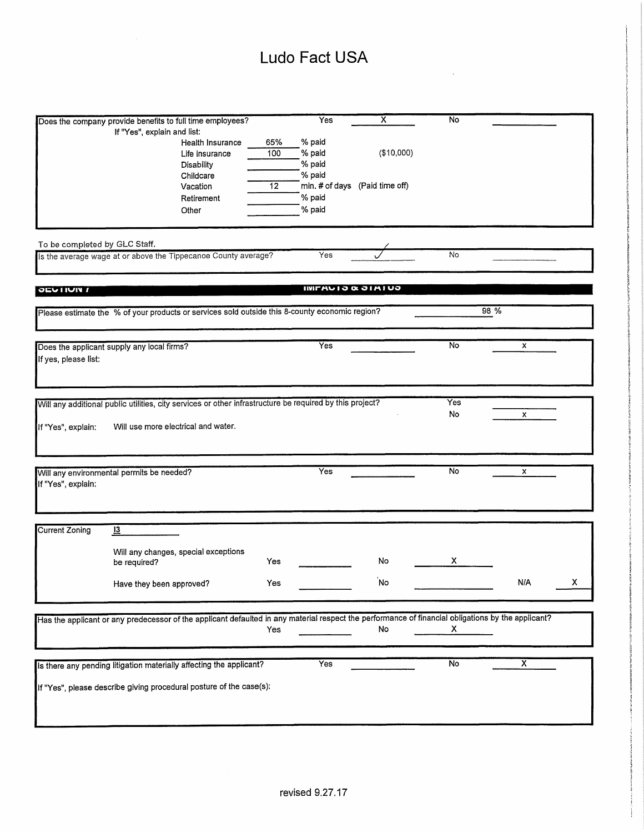|                               |                                                                                                                                                    |     | <b>Yes</b>                   | х                              | No  |                         |   |
|-------------------------------|----------------------------------------------------------------------------------------------------------------------------------------------------|-----|------------------------------|--------------------------------|-----|-------------------------|---|
|                               | Does the company provide benefits to full time employees?                                                                                          |     |                              |                                |     |                         |   |
|                               | If "Yes", explain and list:                                                                                                                        | 65% | % paid                       |                                |     |                         |   |
|                               | Health Insurance                                                                                                                                   | 100 | % paid                       | (\$10,000)                     |     |                         |   |
|                               | Life insurance                                                                                                                                     |     | % paid                       |                                |     |                         |   |
|                               | Disability                                                                                                                                         |     |                              |                                |     |                         |   |
|                               | Childcare                                                                                                                                          |     | % paid                       |                                |     |                         |   |
|                               | Vacation                                                                                                                                           | 12  |                              | min. # of days (Paid time off) |     |                         |   |
|                               | Retirement                                                                                                                                         |     | % paid                       |                                |     |                         |   |
|                               | Other                                                                                                                                              |     | % paid                       |                                |     |                         |   |
|                               |                                                                                                                                                    |     |                              |                                |     |                         |   |
|                               |                                                                                                                                                    |     |                              |                                |     |                         |   |
| To be completed by GLC Staff. |                                                                                                                                                    |     |                              |                                |     |                         |   |
|                               | Is the average wage at or above the Tippecanoe County average?                                                                                     |     | Yes                          |                                | No  |                         |   |
|                               |                                                                                                                                                    |     |                              |                                |     |                         |   |
|                               |                                                                                                                                                    |     |                              |                                |     |                         |   |
| <b>JEVIDUI</b>                |                                                                                                                                                    |     | <b>IWITHUID &amp; JIMIUD</b> |                                |     |                         |   |
|                               |                                                                                                                                                    |     |                              |                                |     |                         |   |
|                               | Please estimate the % of your products or services sold outside this 8-county economic region?                                                     |     |                              |                                |     | 98 %                    |   |
|                               |                                                                                                                                                    |     |                              |                                |     |                         |   |
|                               |                                                                                                                                                    |     |                              |                                |     |                         |   |
|                               | Does the applicant supply any local firms?                                                                                                         |     | <b>Yes</b>                   |                                | No  | x                       |   |
| If yes, please list:          |                                                                                                                                                    |     |                              |                                |     |                         |   |
|                               |                                                                                                                                                    |     |                              |                                |     |                         |   |
|                               |                                                                                                                                                    |     |                              |                                |     |                         |   |
|                               |                                                                                                                                                    |     |                              |                                |     |                         |   |
|                               | Will any additional public utilities, city services or other infrastructure be required by this project?                                           |     |                              |                                | Yes |                         |   |
|                               |                                                                                                                                                    |     |                              |                                | No  | x                       |   |
| If "Yes", explain:            | Will use more electrical and water.                                                                                                                |     |                              |                                |     |                         |   |
|                               |                                                                                                                                                    |     |                              |                                |     |                         |   |
|                               |                                                                                                                                                    |     |                              |                                |     |                         |   |
|                               |                                                                                                                                                    |     |                              |                                |     |                         |   |
|                               | Will any environmental permits be needed?                                                                                                          |     | Yes                          |                                | No  | X                       |   |
| If "Yes", explain:            |                                                                                                                                                    |     |                              |                                |     |                         |   |
|                               |                                                                                                                                                    |     |                              |                                |     |                         |   |
|                               |                                                                                                                                                    |     |                              |                                |     |                         |   |
|                               |                                                                                                                                                    |     |                              |                                |     |                         |   |
| <b>Current Zoning</b>         | $\overline{13}$                                                                                                                                    |     |                              |                                |     |                         |   |
|                               |                                                                                                                                                    |     |                              |                                |     |                         |   |
|                               | Will any changes, special exceptions                                                                                                               |     |                              |                                |     |                         |   |
|                               | be required?                                                                                                                                       | Yes |                              | No                             | X   |                         |   |
|                               |                                                                                                                                                    |     |                              |                                |     |                         |   |
|                               | Have they been approved?                                                                                                                           | Yes |                              | No                             |     | <b>N/A</b>              | х |
|                               |                                                                                                                                                    |     |                              |                                |     |                         |   |
|                               |                                                                                                                                                    |     |                              |                                |     |                         |   |
|                               | Has the applicant or any predecessor of the applicant defaulted in any material respect the performance of financial obligations by the applicant? |     |                              |                                |     |                         |   |
|                               |                                                                                                                                                    | Yes |                              | No                             | X.  |                         |   |
|                               |                                                                                                                                                    |     |                              |                                |     |                         |   |
|                               |                                                                                                                                                    |     |                              |                                |     |                         |   |
|                               | Is there any pending litigation materially affecting the applicant?                                                                                |     | Yes                          |                                | No  | $\overline{\mathsf{x}}$ |   |
|                               |                                                                                                                                                    |     |                              |                                |     |                         |   |
|                               | If "Yes", please describe giving procedural posture of the case(s):                                                                                |     |                              |                                |     |                         |   |
|                               |                                                                                                                                                    |     |                              |                                |     |                         |   |
|                               |                                                                                                                                                    |     |                              |                                |     |                         |   |
|                               |                                                                                                                                                    |     |                              |                                |     |                         |   |
|                               |                                                                                                                                                    |     |                              |                                |     |                         |   |